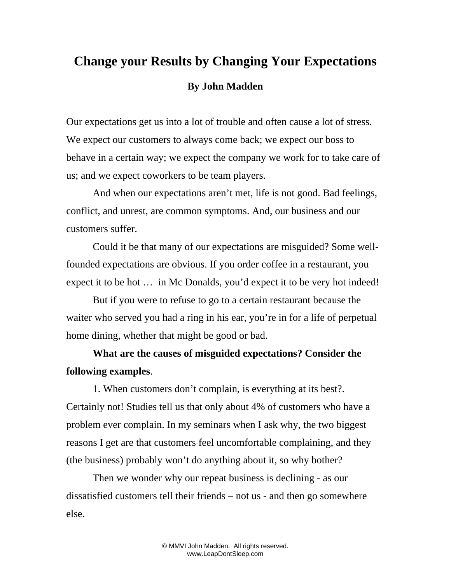## **Change your Results by Changing Your Expectations By John Madden**

Our expectations get us into a lot of trouble and often cause a lot of stress. We expect our customers to always come back; we expect our boss to behave in a certain way; we expect the company we work for to take care of us; and we expect coworkers to be team players.

And when our expectations aren't met, life is not good. Bad feelings, conflict, and unrest, are common symptoms. And, our business and our customers suffer.

Could it be that many of our expectations are misguided? Some wellfounded expectations are obvious. If you order coffee in a restaurant, you expect it to be hot ... in Mc Donalds, you'd expect it to be very hot indeed!

But if you were to refuse to go to a certain restaurant because the waiter who served you had a ring in his ear, you're in for a life of perpetual home dining, whether that might be good or bad.

**What are the causes of misguided expectations? Consider the following examples**.

1. When customers don't complain, is everything at its best?. Certainly not! Studies tell us that only about 4% of customers who have a problem ever complain. In my seminars when I ask why, the two biggest reasons I get are that customers feel uncomfortable complaining, and they (the business) probably won't do anything about it, so why bother?

Then we wonder why our repeat business is declining - as our dissatisfied customers tell their friends – not us - and then go somewhere else.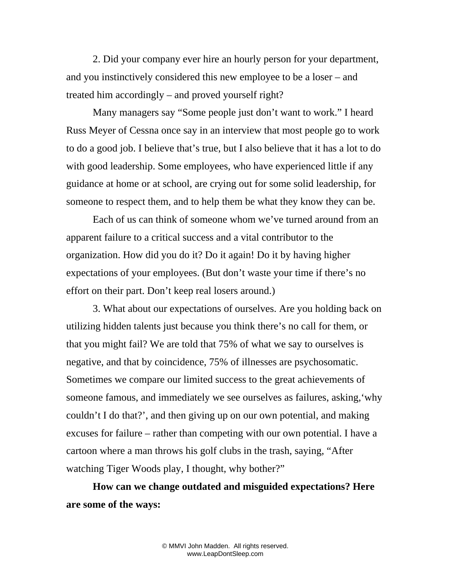2. Did your company ever hire an hourly person for your department, and you instinctively considered this new employee to be a loser – and treated him accordingly – and proved yourself right?

Many managers say "Some people just don't want to work." I heard Russ Meyer of Cessna once say in an interview that most people go to work to do a good job. I believe that's true, but I also believe that it has a lot to do with good leadership. Some employees, who have experienced little if any guidance at home or at school, are crying out for some solid leadership, for someone to respect them, and to help them be what they know they can be.

Each of us can think of someone whom we've turned around from an apparent failure to a critical success and a vital contributor to the organization. How did you do it? Do it again! Do it by having higher expectations of your employees. (But don't waste your time if there's no effort on their part. Don't keep real losers around.)

3. What about our expectations of ourselves. Are you holding back on utilizing hidden talents just because you think there's no call for them, or that you might fail? We are told that 75% of what we say to ourselves is negative, and that by coincidence, 75% of illnesses are psychosomatic. Sometimes we compare our limited success to the great achievements of someone famous, and immediately we see ourselves as failures, asking,'why couldn't I do that?', and then giving up on our own potential, and making excuses for failure – rather than competing with our own potential. I have a cartoon where a man throws his golf clubs in the trash, saying, "After watching Tiger Woods play, I thought, why bother?"

**How can we change outdated and misguided expectations? Here are some of the ways:**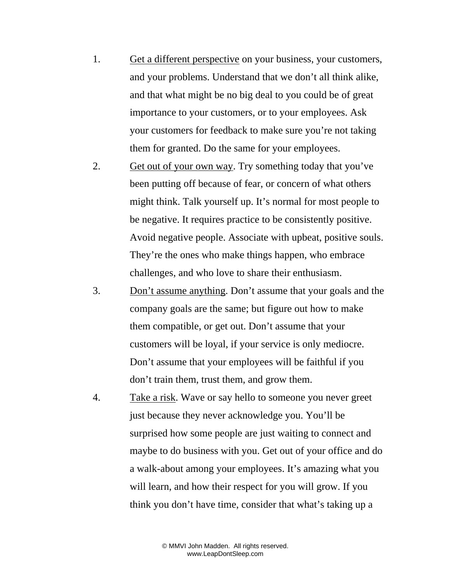- 1. Get a different perspective on your business, your customers, and your problems. Understand that we don't all think alike, and that what might be no big deal to you could be of great importance to your customers, or to your employees. Ask your customers for feedback to make sure you're not taking them for granted. Do the same for your employees.
- 2. Get out of your own way. Try something today that you've been putting off because of fear, or concern of what others might think. Talk yourself up. It's normal for most people to be negative. It requires practice to be consistently positive. Avoid negative people. Associate with upbeat, positive souls. They're the ones who make things happen, who embrace challenges, and who love to share their enthusiasm.
- 3. Don't assume anything. Don't assume that your goals and the company goals are the same; but figure out how to make them compatible, or get out. Don't assume that your customers will be loyal, if your service is only mediocre. Don't assume that your employees will be faithful if you don't train them, trust them, and grow them.
- 4. Take a risk. Wave or say hello to someone you never greet just because they never acknowledge you. You'll be surprised how some people are just waiting to connect and maybe to do business with you. Get out of your office and do a walk-about among your employees. It's amazing what you will learn, and how their respect for you will grow. If you think you don't have time, consider that what's taking up a